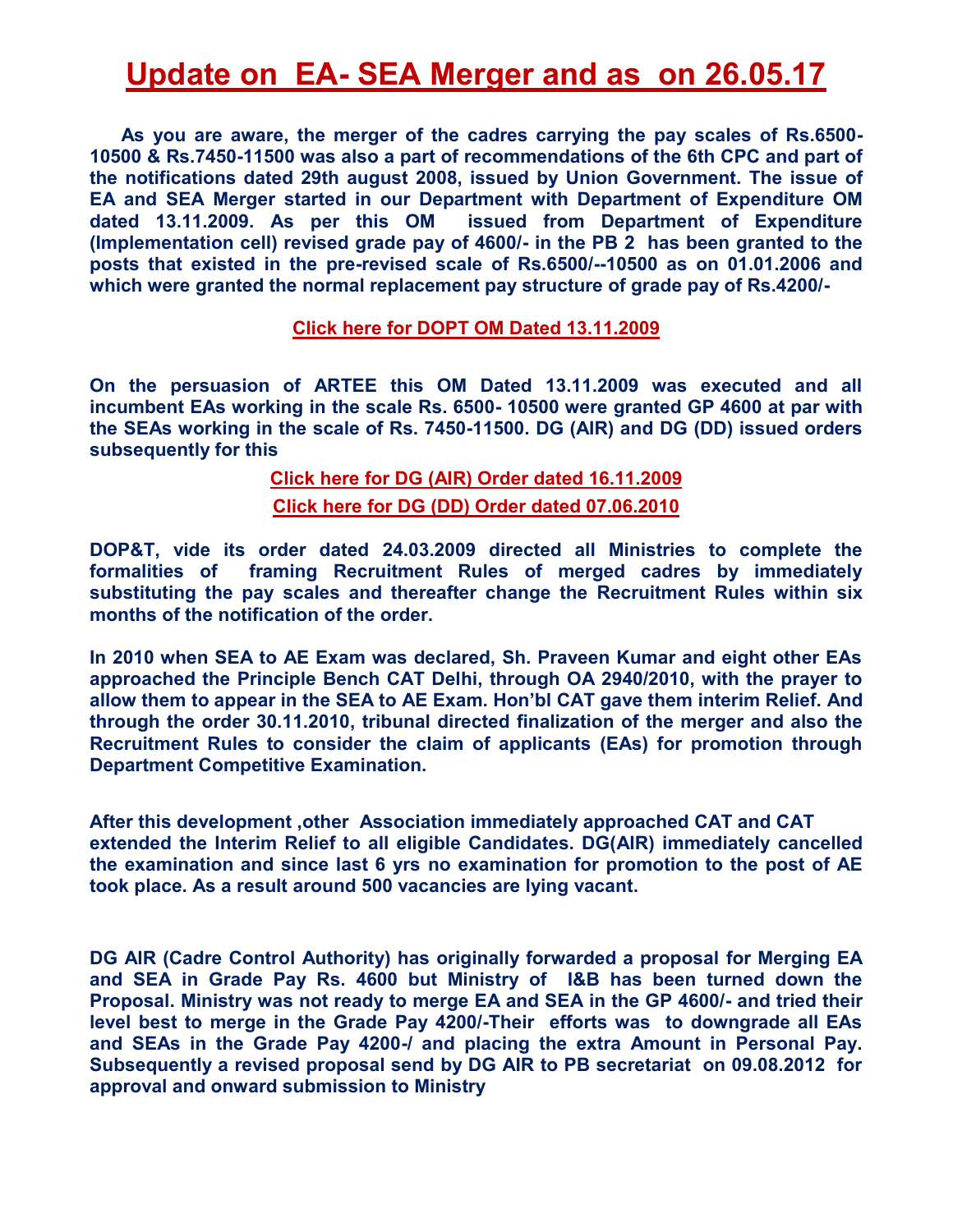## **Update on EA- SEA Merger and as on 26.05.17**

 **As you are aware, the merger of the cadres carrying the pay scales of Rs.6500- 10500 & Rs.7450-11500 was also a part of recommendations of the 6th CPC and part of the notifications dated 29th august 2008, issued by Union Government. The issue of EA and SEA Merger started in our Department with Department of Expenditure OM dated 13.11.2009. As per this OM issued from Department of Expenditure (Implementation cell) revised grade pay of 4600/- in the PB 2 has been granted to the posts that existed in the pre-revised scale of Rs.6500/--10500 as on 01.01.2006 and which were granted the normal replacement pay structure of grade pay of Rs.4200/-** 

### **[Click here for DOPT OM Dated 13.11.2009](http://arteeindia.org/central/2016/DoEP_Order_131109.pdf)**

**On the persuasion of ARTEE this OM Dated 13.11.2009 was executed and all incumbent EAs working in the scale Rs. 6500- 10500 were granted GP 4600 at par with the SEAs working in the scale of Rs. 7450-11500. DG (AIR) and DG (DD) issued orders subsequently for this**

> **[Click here for DG \(AIR\) Order dated 16.11.2009](http://arteeindia.org/central/2014/EA-4600%20DG%20AIR%20Order%2016112009.pdf) [Click here for DG \(DD\) Order dated 07.06.2010](http://arteeindia.org/central/2017/DG_DD_Order.pdf)**

**DOP&T, vide its order dated 24.03.2009 directed all Ministries to complete the formalities of framing Recruitment Rules of merged cadres by immediately substituting the pay scales and thereafter change the Recruitment Rules within six months of the notification of the order.** 

**In 2010 when SEA to AE Exam was declared, Sh. Praveen Kumar and eight other EAs approached the Principle Bench CAT Delhi, through OA 2940/2010, with the prayer to allow them to appear in the SEA to AE Exam. Hon'bl CAT gave them interim Relief. And through the order 30.11.2010, tribunal directed finalization of the merger and also the Recruitment Rules to consider the claim of applicants (EAs) for promotion through Department Competitive Examination.** 

**After this development ,other Association immediately approached CAT and CAT extended the Interim Relief to all eligible Candidates. DG(AIR) immediately cancelled the examination and since last 6 yrs no examination for promotion to the post of AE took place. As a result around 500 vacancies are lying vacant.** 

**DG AIR (Cadre Control Authority) has originally forwarded a proposal for Merging EA and SEA in Grade Pay Rs. 4600 but Ministry of I&B has been turned down the Proposal. Ministry was not ready to merge EA and SEA in the GP 4600/- and tried their level best to merge in the Grade Pay 4200/-Their efforts was to downgrade all EAs and SEAs in the Grade Pay 4200-/ and placing the extra Amount in Personal Pay. Subsequently a revised proposal send by DG AIR to PB secretariat on 09.08.2012 for approval and onward submission to Ministry**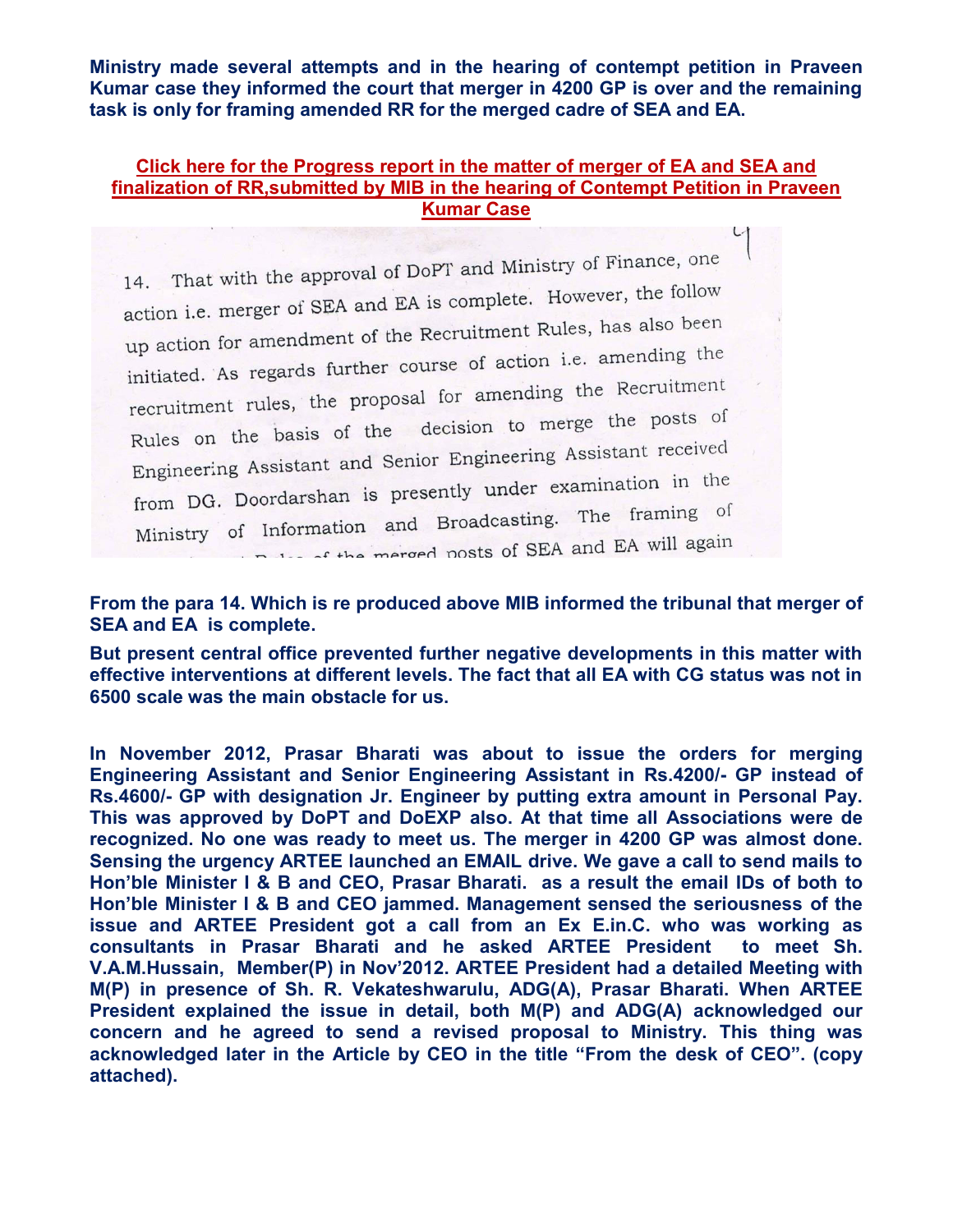**Ministry made several attempts and in the hearing of contempt petition in Praveen Kumar case they informed the court that merger in 4200 GP is over and the remaining task is only for framing amended RR for the merged cadre of SEA and EA.** 

### **[Click here for the Progress report in the matter of merger of EA and SEA and](http://arteeindia.org/central/2017/Progess_Report_Submitted_in_CAT_.pdf)  [finalization of RR,submitted by MIB in the hearing of Contempt Petition in Praveen](http://arteeindia.org/central/2017/Progess_Report_Submitted_in_CAT_.pdf)  [Kumar Case](http://arteeindia.org/central/2017/Progess_Report_Submitted_in_CAT_.pdf)**

14. That with the approval of DoPT and Ministry of Finance, one action i.e. merger of SEA and EA is complete. However, the follow action i.e. merger of start and also interest.<br>up action for amendment of the Recruitment Rules, has also been up action for americancer of action i.e. amending the<br>initiated. As regards further course of action i.e. amending the recruitment rules, the proposal for amending the Recruitment<br>recruitment rules, the proposal for amending the Recruitment Rules on the basis of the decision to merge the posts of Engineering Assistant and Senior Engineering Assistant received<br>Engineering Assistant and Senior Engineering Assistant received Engineering Assistant and Source<br>from DG. Doordarshan is presently under examination in the Ministry of Information and Broadcasting. The framing of<br>Ministry of Information and Broadcasting. The framing of Delay of the merged posts of SEA and EA will again

### **From the para 14. Which is re produced above MIB informed the tribunal that merger of SEA and EA is complete.**

**But present central office prevented further negative developments in this matter with effective interventions at different levels. The fact that all EA with CG status was not in 6500 scale was the main obstacle for us.** 

**In November 2012, Prasar Bharati was about to issue the orders for merging Engineering Assistant and Senior Engineering Assistant in Rs.4200/- GP instead of Rs.4600/- GP with designation Jr. Engineer by putting extra amount in Personal Pay. This was approved by DoPT and DoEXP also. At that time all Associations were de recognized. No one was ready to meet us. The merger in 4200 GP was almost done. Sensing the urgency ARTEE launched an EMAIL drive. We gave a call to send mails to Hon'ble Minister I & B and CEO, Prasar Bharati. as a result the email IDs of both to Hon'ble Minister I & B and CEO jammed. Management sensed the seriousness of the issue and ARTEE President got a call from an Ex E.in.C. who was working as consultants in Prasar Bharati and he asked ARTEE President to meet Sh. V.A.M.Hussain, Member(P) in Nov'2012. ARTEE President had a detailed Meeting with M(P) in presence of Sh. R. Vekateshwarulu, ADG(A), Prasar Bharati. When ARTEE President explained the issue in detail, both M(P) and ADG(A) acknowledged our concern and he agreed to send a revised proposal to Ministry. This thing was acknowledged later in the Article by CEO in the title "From the desk of CEO". (copy attached).**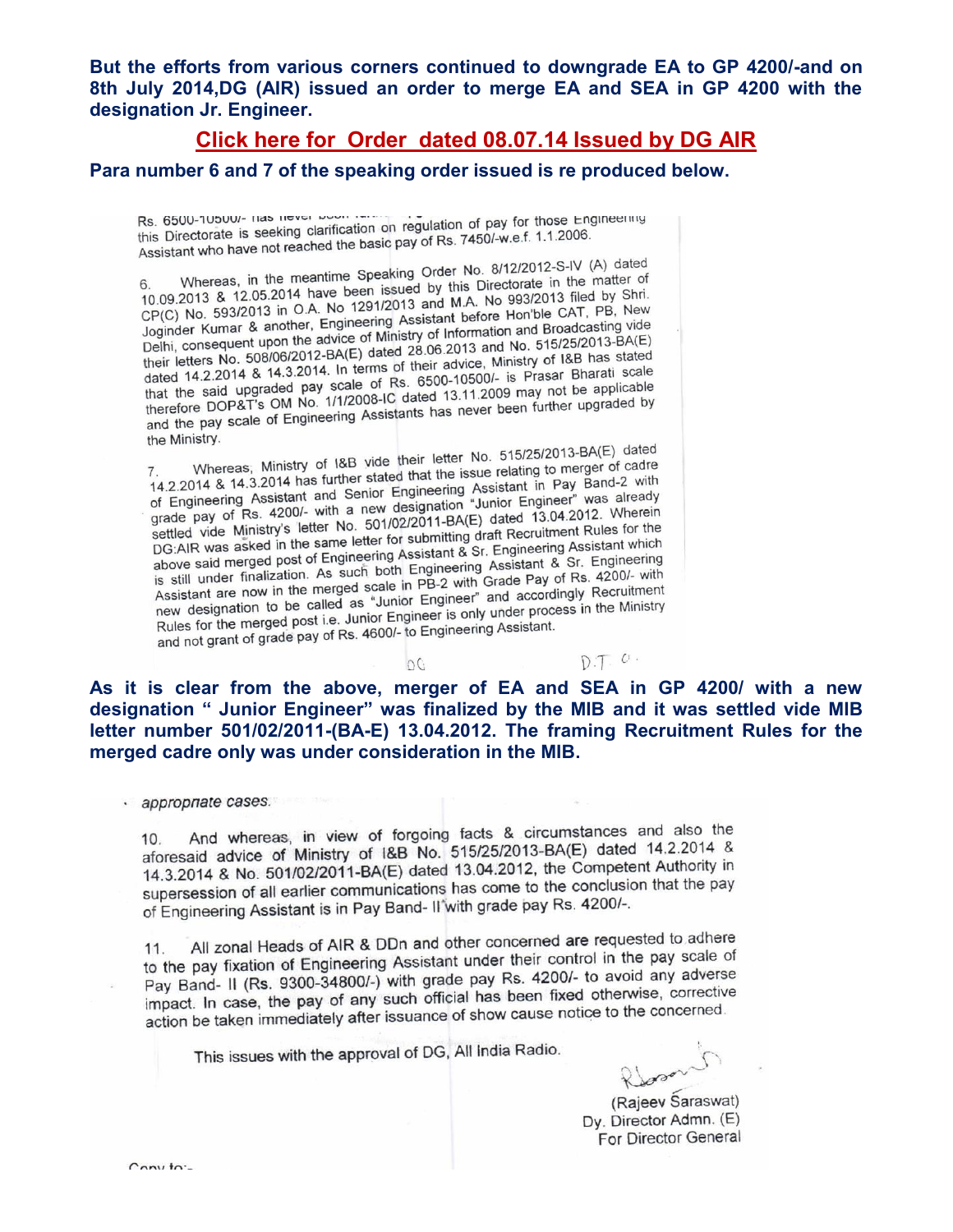**But the efforts from various corners continued to downgrade EA to GP 4200/-and on 8th July 2014,DG (AIR) issued an order to merge EA and SEA in GP 4200 with the designation Jr. Engineer.** 

**[Click here for Order dated 08.07.14 Issued by DG AIR](http://arteeindia.org/central/2014/EA%204200%20-%20DG%20AIR%20Speaking%20Order.pdf)** 

**Para number 6 and 7 of the speaking order issued is re produced below.** 

Rs. 6500-10500/- Has hever better in regulation of pay for those Engineering<br>this Directorate is seeking clarification on regulation of pay for those Engineering this Directorate is seeking clarification on regulation of pay for these 2006.<br>Assistant who have not reached the basic pay of Rs. 7450/-w.e.f. 1.1.2006.

Whereas, in the meantime Speaking Order No. 8/12/2012-S-IV (A) dated<br>Whereas, in the meantime Speaking Order No. 8/12/2012-S-IV (A) dated 6. Whereas, in the meantime Speaking Order No. 8/12/2012-3-10 (x) distributed in the matter of 10.09.2013 & 12.05.2014 have been issued by this Directorate in the matter of the speaking of A No. 1291/2013 and M.A. No 993/  $6^{\circ}$ 10.09.2013 & 12.05.2014 have been issued by this Directorate in the line of the 10.09.2013 & 12.05.2014 have been issued by this Directorate in the base of the CAT, PB, New CP(C) No. 593/2013 in O.A. No 1291/2013 and M.A. No 993/2013 filed PB, New<br>Joginder Kumar & another, Engineering Assistant before Hon'ble CAT, PB, New<br>Joginder Kumar & another, Engineering Assistant before Hon'ble CAT, PB, Joginder Kumar & another, Engineering Assistant before Hon bie CAT, the Unit of Information and Broadcasting vide<br>Delhi, consequent upon the advice of Ministry of Information and Broadcasting vide<br>Delhi, consequent upon th Jogineer Kurillar & aircrown the advice of Ministry of Information and Bioadcassing Tells.<br>Their letters No. 508/06/2012-BA(E) dated 28.06.2013 and No. 515/25/2013-BA(E)<br>their letters No. 508/06/2012-BA(E) dated 28.06.2013 Delhi, consequent apply 12012-BA(E) dated 28.06.2013 and No. 313/23/2012<br>their letters No. 508/06/2012-BA(E) dated 28.06.2013 and No. 313/23/2012<br>dated 14.2.2014 & 14.3.2014. In terms of their advice, Ministry of I&B has s dated 14.2.2014 w Harded pay scale of Rs. 6500-10500/- IS Prasal Bilarda Scale<br>that the said upgraded pay scale of Rs. 6500-10500/- IS Prasal Bilarda Scale<br>therefore DOP&T's OM No. 1/1/2008-IC dated 13.11.2009 may not be a that the sala dipyrrols of No. 1/1/2008-IC dated 13.11.2009 may not be approached<br>therefore DOP&T's OM No. 1/1/2008-IC dated 13.11.2009 may not be approached<br>and the pay scale of Engineering Assistants has never been furth the Ministry.

Whereas, Ministry of I&B vide their letter No. 515/25/2013-BA(E) dated<br>Whereas, Ministry of I&B vide their letter No. 515/25/2013-BA(E) dated T. Whereas; Ministry of 1&B vide their letter No. 515/25/2015-04(e)<br>14.2.2014 & 14.3.2014 has further stated that the issue relating to merger of cadre<br>14.2.2014 & 14.3.2014 has further stated that the issue relating to me 14.2.2014 & 14.3.2014 has further stated that the issue relating to more band-2 with<br>of Engineering Assistant and Senior Engineering Assistant in Pay Band-2 with<br>of Engineering Assistant and Senior Engineering Assistant in 14.2.2014 & 14.9.25 is and Senior Engineering Assistant in Fay Band<br>of Engineering Assistant and Senior Engineering Assistant in Fay Band<br>grade pay of Rs. 4200/- with a new designation "Junior Engineer" was already<br>grade p or Engineering 78. 4200/- with a new designation "Junior Engineer Way of Rs. 4200/-<br>settled vide Ministry's letter No. 501/02/2011-BA(E) dated 13.04.2012. Wherein<br>settled vide Ministry's letter No. 501/02/2011-BA(E) dated settled vide Ministry's letter No. 501/02/2011-BA(E) dated 13.04.2012<br>DG:AIR was asked in the same letter for submitting draft Recruitment Rules for the<br>DG:AIR was asked in the same letter for submitting draft Recruitment DG:AIR was asked in the same letter for submitting draft Recruitment Rules<br>above said merged post of Engineering Assistant & Sr. Engineering Assistant which<br>above said merged post of Engineering Assistant & Sr. Engineering business association. As such both Engineering Assistant & Sr. Engineering<br>is still under finalization. As such both Engineering Assistant & Sr. Engineering<br>is still under finalization. As such both Engineering Assistant & above salu merged por assuch both Engineering Assistant & St. Linguist is still under finalization. As such both Engineering Assistant & St. Linguist Assistant are now in the merged scale in PB-2 with Grade Pay of Rs. 4200 Assistant are now in the merged scale in PB-2 with Grade Pay of NS. 42007 then<br>new designation to be called as "Junior Engineer" and accordingly Recruitment<br>new designation to be called as "Junior Engineer is only under pr new designation to be called as "Junior Engineer and accordingly recently<br>Rules for the merged post i.e. Junior Engineer is only under process in the Ministry<br>Rules for the merged pay of Rs. 4600/- to Engineering Assistant Rules for the merged post i.e. Junior Engineer is only driver produced and not grant of grade pay of Rs. 4600/- to Engineering Assistant.

 $OC$ 

**As it is clear from the above, merger of EA and SEA in GP 4200/ with a new designation " Junior Engineer" was finalized by the MIB and it was settled vide MIB letter number 501/02/2011-(BA-E) 13.04.2012. The framing Recruitment Rules for the merged cadre only was under consideration in the MIB.** 

· appropriate cases.

And whereas, in view of forgoing facts & circumstances and also the  $10.$ aforesaid advice of Ministry of I&B No. 515/25/2013-BA(E) dated 14.2.2014 & 14.3.2014 & No. 501/02/2011-BA(E) dated 13.04.2012, the Competent Authority in supersession of all earlier communications has come to the conclusion that the pay of Engineering Assistant is in Pay Band-II'with grade pay Rs. 4200/-.

All zonal Heads of AIR & DDn and other concerned are requested to adhere 11. 11. All zonal Heads of AIR  $\alpha$  DDH and other concerned are the pay scale of<br>to the pay fixation of Engineering Assistant under their control in the pay scale of to the pay fixation of Engineering Assistant under their control in the pay<br>Pay Band- II (Rs. 9300-34800/-) with grade pay Rs. 4200/- to avoid any adverse Pay Band- II (Rs. 9300-34600/-) with grade pay NS. 42500.<br>Impact. In case, the pay of any such official has been fixed otherwise, corrective impact. In case, the pay of any such official has been interested to the concerned.

This issues with the approval of DG, All India Radio.

over

 $D.T. O.$ 

(Rajeev Saraswat) Dy. Director Admn. (E) For Director General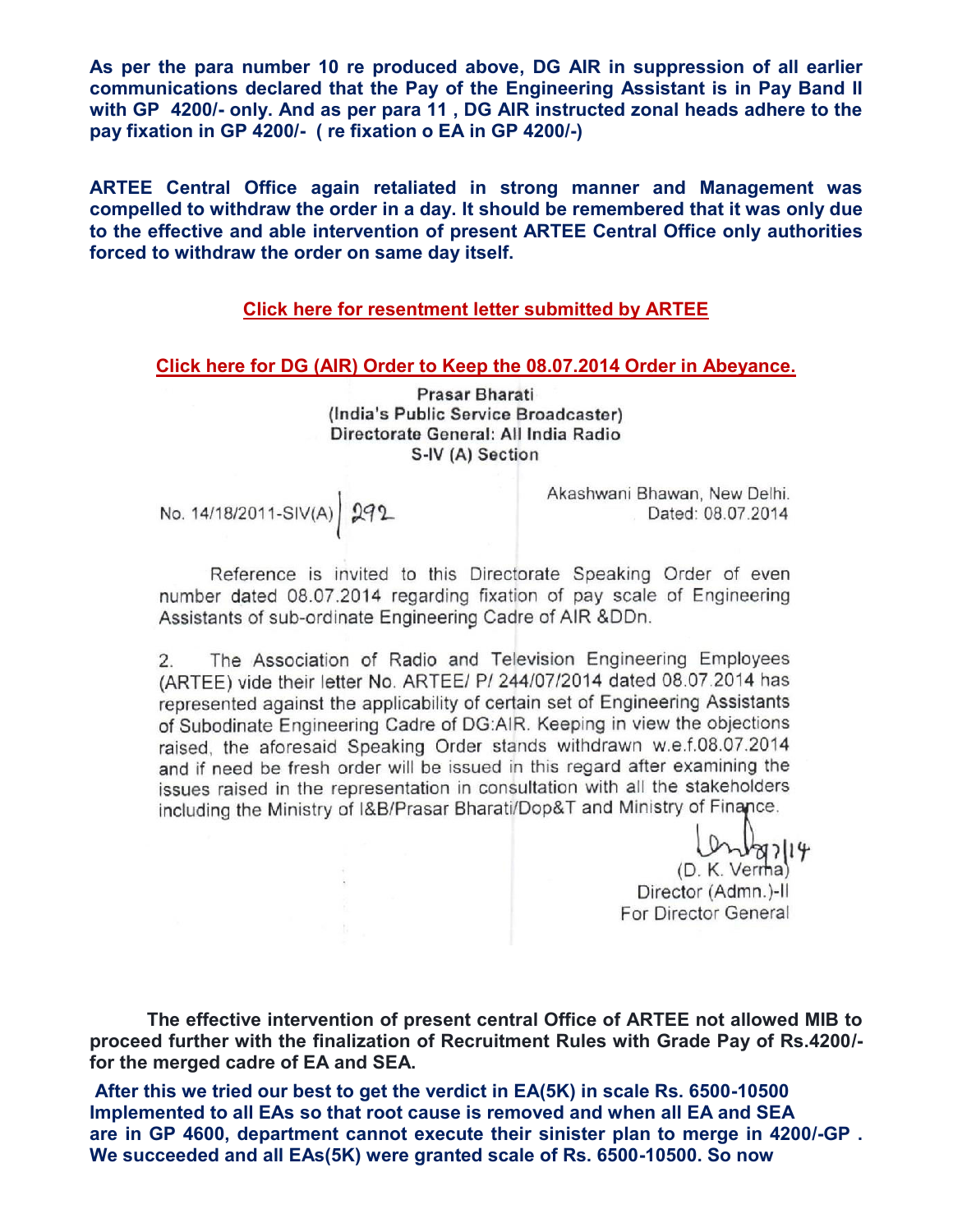**As per the para number 10 re produced above, DG AIR in suppression of all earlier communications declared that the Pay of the Engineering Assistant is in Pay Band II with GP 4200/- only. And as per para 11 , DG AIR instructed zonal heads adhere to the pay fixation in GP 4200/- ( re fixation o EA in GP 4200/-)** 

**ARTEE Central Office again retaliated in strong manner and Management was compelled to withdraw the order in a day. It should be remembered that it was only due to the effective and able intervention of present ARTEE Central Office only authorities forced to withdraw the order on same day itself.** 

### **[Click here for resentment letter submitted by ARTEE](http://arteeindia.org/central/2014/ARTEE%20resentment%20on%204200%20GP%20EA.pdf)**

#### **[Click here for DG \(AIR\) Order to Keep the 08.07.2014 Order in Abeyance.](http://arteeindia.org/central/2014/Withdrawl%20Merger%20Order.pdf)**

Prasar Bharati (India's Public Service Broadcaster) Directorate General: All India Radio S-IV (A) Section

# No. 14/18/2011-SIV(A) 292

Akashwani Bhawan, New Delhi. Dated: 08.07.2014

Reference is invited to this Directorate Speaking Order of even number dated 08.07.2014 regarding fixation of pay scale of Engineering Assistants of sub-ordinate Engineering Cadre of AIR &DDn.

The Association of Radio and Television Engineering Employees  $2.$ (ARTEE) vide their letter No. ARTEE/ P/ 244/07/2014 dated 08.07.2014 has represented against the applicability of certain set of Engineering Assistants of Subodinate Engineering Cadre of DG:AIR. Keeping in view the objections raised, the aforesaid Speaking Order stands withdrawn w.e.f.08.07.2014 and if need be fresh order will be issued in this regard after examining the issues raised in the representation in consultation with all the stakeholders including the Ministry of I&B/Prasar Bharati/Dop&T and Ministry of Finance.

> Ontarity<br>(D. K. Verna) Director (Admn.)-II For Director General

 **The effective intervention of present central Office of ARTEE not allowed MIB to proceed further with the finalization of Recruitment Rules with Grade Pay of Rs.4200/ for the merged cadre of EA and SEA.** 

 **After this we tried our best to get the verdict in EA(5K) in scale Rs. 6500-10500 Implemented to all EAs so that root cause is removed and when all EA and SEA are in GP 4600, department cannot execute their sinister plan to merge in 4200/-GP . We succeeded and all EAs(5K) were granted scale of Rs. 6500-10500. So now**